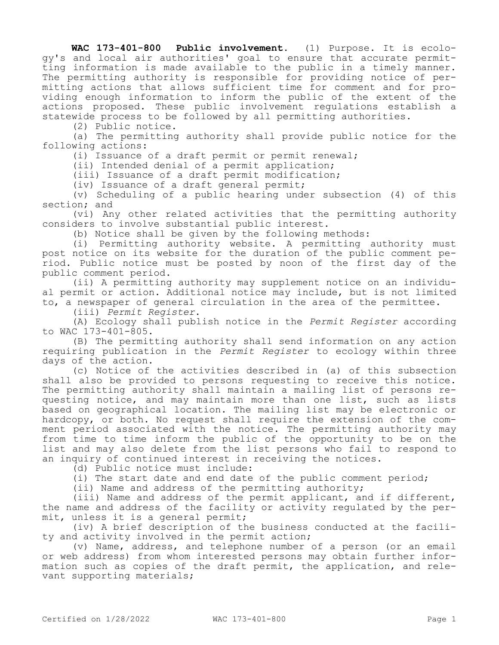**WAC 173-401-800 Public involvement.** (1) Purpose. It is ecology's and local air authorities' goal to ensure that accurate permitting information is made available to the public in a timely manner. The permitting authority is responsible for providing notice of permitting actions that allows sufficient time for comment and for providing enough information to inform the public of the extent of the actions proposed. These public involvement regulations establish a statewide process to be followed by all permitting authorities.

(2) Public notice.

(a) The permitting authority shall provide public notice for the following actions:

(i) Issuance of a draft permit or permit renewal;

(ii) Intended denial of a permit application;

(iii) Issuance of a draft permit modification;

(iv) Issuance of a draft general permit;

(v) Scheduling of a public hearing under subsection (4) of this section; and

(vi) Any other related activities that the permitting authority considers to involve substantial public interest.

(b) Notice shall be given by the following methods:

(i) Permitting authority website. A permitting authority must post notice on its website for the duration of the public comment period. Public notice must be posted by noon of the first day of the public comment period.

(ii) A permitting authority may supplement notice on an individual permit or action. Additional notice may include, but is not limited to, a newspaper of general circulation in the area of the permittee.

(iii) *Permit Register*.

(A) Ecology shall publish notice in the *Permit Register* according to WAC 173-401-805.

(B) The permitting authority shall send information on any action requiring publication in the *Permit Register* to ecology within three days of the action.

(c) Notice of the activities described in (a) of this subsection shall also be provided to persons requesting to receive this notice. The permitting authority shall maintain a mailing list of persons requesting notice, and may maintain more than one list, such as lists based on geographical location. The mailing list may be electronic or hardcopy, or both. No request shall require the extension of the comment period associated with the notice. The permitting authority may from time to time inform the public of the opportunity to be on the list and may also delete from the list persons who fail to respond to an inquiry of continued interest in receiving the notices.

(d) Public notice must include:

(i) The start date and end date of the public comment period;

(ii) Name and address of the permitting authority;

(iii) Name and address of the permit applicant, and if different, the name and address of the facility or activity regulated by the permit, unless it is a general permit;

(iv) A brief description of the business conducted at the facility and activity involved in the permit action;

(v) Name, address, and telephone number of a person (or an email or web address) from whom interested persons may obtain further information such as copies of the draft permit, the application, and relevant supporting materials;